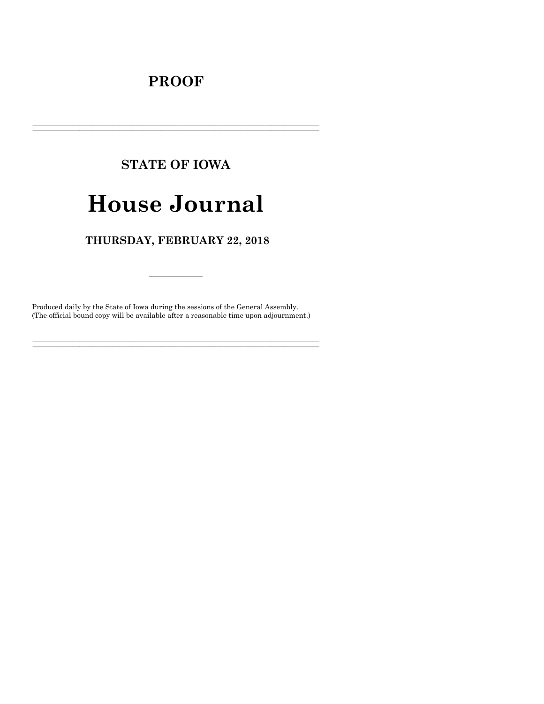## **PROOF**

# **STATE OF IOWA**

# **House Journal**

### THURSDAY, FEBRUARY 22, 2018

Produced daily by the State of Iowa during the sessions of the General Assembly. (The official bound copy will be available after a reasonable time upon adjournment.)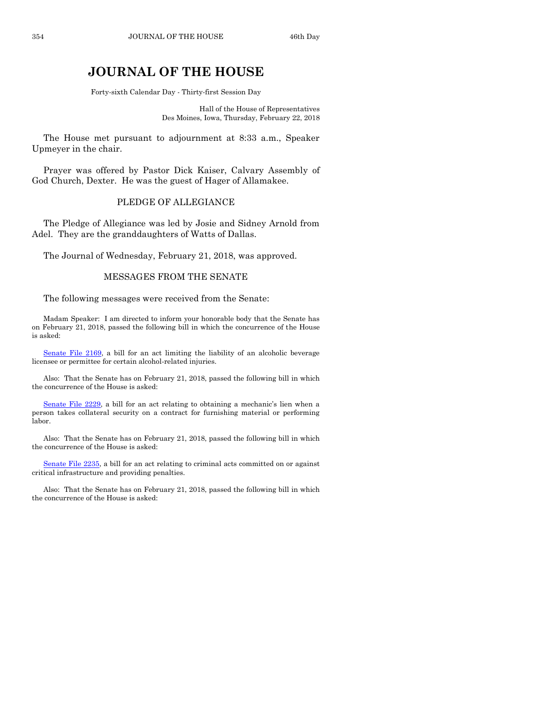## **JOURNAL OF THE HOUSE**

Forty-sixth Calendar Day - Thirty-first Session Day

Hall of the House of Representatives Des Moines, Iowa, Thursday, February 22, 2018

The House met pursuant to adjournment at 8:33 a.m., Speaker Upmeyer in the chair.

Prayer was offered by Pastor Dick Kaiser, Calvary Assembly of God Church, Dexter. He was the guest of Hager of Allamakee.

#### PLEDGE OF ALLEGIANCE

The Pledge of Allegiance was led by Josie and Sidney Arnold from Adel. They are the granddaughters of Watts of Dallas.

The Journal of Wednesday, February 21, 2018, was approved.

#### MESSAGES FROM THE SENATE

The following messages were received from the Senate:

Madam Speaker: I am directed to inform your honorable body that the Senate has on February 21, 2018, passed the following bill in which the concurrence of the House is asked:

[Senate File 2169,](https://www.legis.iowa.gov/legislation/BillBook?ga=87&ba=SF2169) a bill for an act limiting the liability of an alcoholic beverage licensee or permittee for certain alcohol-related injuries.

Also: That the Senate has on February 21, 2018, passed the following bill in which the concurrence of the House is asked:

[Senate File 2229](https://www.legis.iowa.gov/legislation/BillBook?ga=87&ba=SF2229), a bill for an act relating to obtaining a mechanic's lien when a person takes collateral security on a contract for furnishing material or performing labor.

Also: That the Senate has on February 21, 2018, passed the following bill in which the concurrence of the House is asked:

[Senate File 2235,](https://www.legis.iowa.gov/legislation/BillBook?ga=87&ba=SF2235) a bill for an act relating to criminal acts committed on or against critical infrastructure and providing penalties.

Also: That the Senate has on February 21, 2018, passed the following bill in which the concurrence of the House is asked: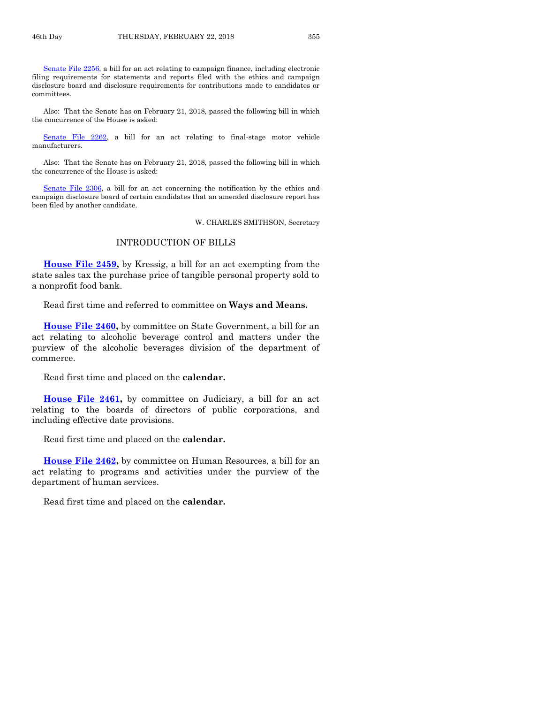[Senate File 2256,](https://www.legis.iowa.gov/legislation/BillBook?ga=87&ba=SF2256) a bill for an act relating to campaign finance, including electronic filing requirements for statements and reports filed with the ethics and campaign disclosure board and disclosure requirements for contributions made to candidates or committees.

Also: That the Senate has on February 21, 2018, passed the following bill in which the concurrence of the House is asked:

[Senate File 2262,](https://www.legis.iowa.gov/legislation/BillBook?ga=87&ba=SF2262) a bill for an act relating to final-stage motor vehicle manufacturers.

Also: That the Senate has on February 21, 2018, passed the following bill in which the concurrence of the House is asked:

[Senate File 2306,](https://www.legis.iowa.gov/legislation/BillBook?ga=87&ba=SF2306) a bill for an act concerning the notification by the ethics and campaign disclosure board of certain candidates that an amended disclosure report has been filed by another candidate.

W. CHARLES SMITHSON, Secretary

#### INTRODUCTION OF BILLS

**[House File 2459,](https://www.legis.iowa.gov/legislation/BillBook?ga=87&ba=HF2459)** by Kressig, a bill for an act exempting from the state sales tax the purchase price of tangible personal property sold to a nonprofit food bank.

Read first time and referred to committee on **Ways and Means.**

**[House File 2460,](https://www.legis.iowa.gov/legislation/BillBook?ga=87&ba=HF2460)** by committee on State Government, a bill for an act relating to alcoholic beverage control and matters under the purview of the alcoholic beverages division of the department of commerce.

Read first time and placed on the **calendar.**

**[House File 2461,](https://www.legis.iowa.gov/legislation/BillBook?ga=87&ba=HF2461)** by committee on Judiciary, a bill for an act relating to the boards of directors of public corporations, and including effective date provisions.

Read first time and placed on the **calendar.**

**[House File 2462,](https://www.legis.iowa.gov/legislation/BillBook?ga=87&ba=HF2462)** by committee on Human Resources, a bill for an act relating to programs and activities under the purview of the department of human services.

Read first time and placed on the **calendar.**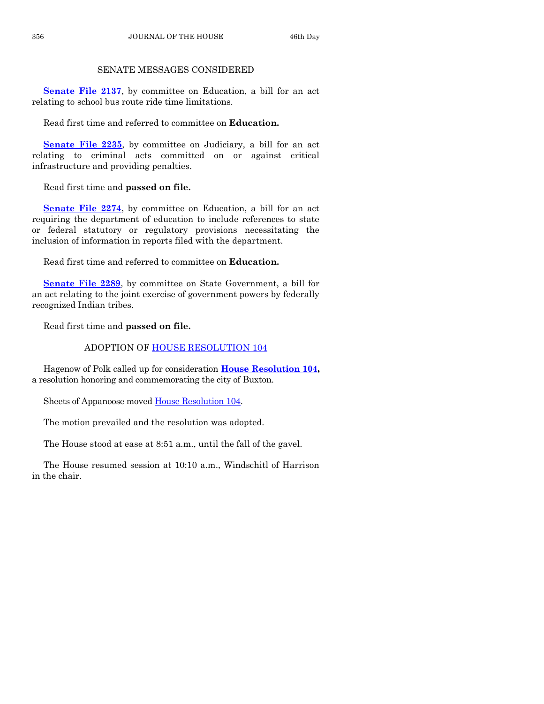#### SENATE MESSAGES CONSIDERED

**[Senate File 2137](https://www.legis.iowa.gov/legislation/BillBook?ga=87&ba=SF2137),** by committee on Education, a bill for an act relating to school bus route ride time limitations.

Read first time and referred to committee on **Education.**

**[Senate File 2235](https://www.legis.iowa.gov/legislation/BillBook?ga=87&ba=SF2235)**, by committee on Judiciary, a bill for an act relating to criminal acts committed on or against critical infrastructure and providing penalties.

Read first time and **passed on file.**

[Senate File 2274](https://www.legis.iowa.gov/legislation/BillBook?ga=87&ba=SF2274), by committee on Education, a bill for an act requiring the department of education to include references to state or federal statutory or regulatory provisions necessitating the inclusion of information in reports filed with the department.

Read first time and referred to committee on **Education.**

**[Senate File 2289](https://www.legis.iowa.gov/legislation/BillBook?ga=87&ba=SF2289)**, by committee on State Government, a bill for an act relating to the joint exercise of government powers by federally recognized Indian tribes.

Read first time and **passed on file.**

#### ADOPTION OF [HOUSE RESOLUTION 104](https://www.legis.iowa.gov/legislation/BillBook?ga=87&ba=HR104)

Hagenow of Polk called up for consideration **[House Resolution 104,](https://www.legis.iowa.gov/legislation/BillBook?ga=87&ba=HR104)** a resolution honoring and commemorating the city of Buxton.

Sheets of Appanoose moved [House Resolution 104.](https://www.legis.iowa.gov/legislation/BillBook?ga=87&ba=HR104)

The motion prevailed and the resolution was adopted.

The House stood at ease at 8:51 a.m., until the fall of the gavel.

The House resumed session at 10:10 a.m., Windschitl of Harrison in the chair.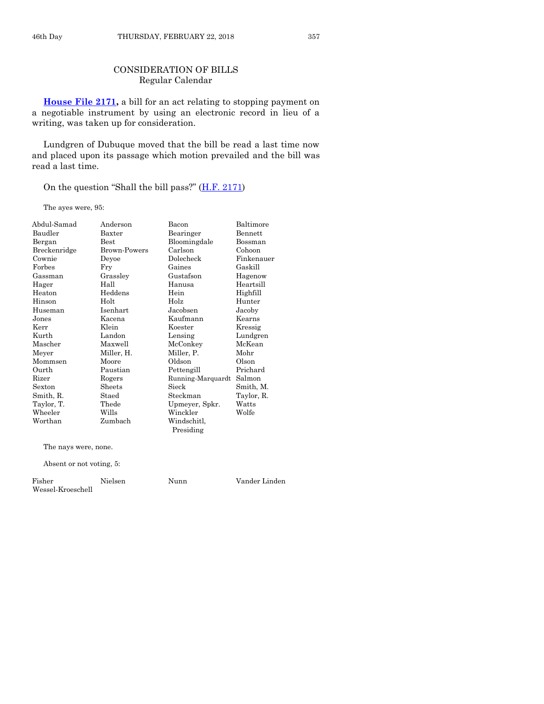#### CONSIDERATION OF BILLS Regular Calendar

**[House File 2171,](https://www.legis.iowa.gov/legislation/BillBook?ga=87&ba=HF2171)** a bill for an act relating to stopping payment on a negotiable instrument by using an electronic record in lieu of a writing, was taken up for consideration.

Lundgren of Dubuque moved that the bill be read a last time now and placed upon its passage which motion prevailed and the bill was read a last time.

On the question "Shall the bill pass?" [\(H.F. 2171\)](https://www.legis.iowa.gov/legislation/BillBook?ga=87&ba=HF2171)

The ayes were, 95:

| Abdul-Samad              | Anderson     | Bacon             | Baltimore  |
|--------------------------|--------------|-------------------|------------|
| Baudler                  | Baxter       | Bearinger         | Bennett    |
| Bergan                   | <b>Best</b>  | Bloomingdale      | Bossman    |
| Breckenridge             | Brown-Powers | Carlson           | Cohoon     |
| Cownie                   | Devoe        | Dolecheck         | Finkenauer |
| Forbes                   | Fry          | Gaines            | Gaskill    |
| Gassman                  | Grassley     | Gustafson         | Hagenow    |
| Hager                    | Hall         | Hanusa            | Heartsill  |
| Heaton                   | Heddens      | Hein              | Highfill   |
| Hinson                   | Holt         | Holz              | Hunter     |
| Huseman                  | Isenhart     | Jacobsen          | Jacoby     |
| Jones                    | Kacena       | Kaufmann          | Kearns     |
| Kerr                     | Klein        | Koester           | Kressig    |
| Kurth                    | Landon       | Lensing           | Lundgren   |
| Mascher                  | Maxwell      | McConkey          | McKean     |
| Meyer                    | Miller, H.   | Miller, P.        | Mohr       |
| Mommsen                  | Moore        | Oldson            | Olson      |
| Ourth                    | Paustian     | Pettengill        | Prichard   |
| Rizer                    | Rogers       | Running-Marquardt | Salmon     |
| Sexton                   | Sheets       | Sieck             | Smith, M.  |
| Smith, R.                | Staed        | Steckman          | Taylor, R. |
| Taylor, T.               | Thede        | Upmeyer, Spkr.    | Watts      |
| Wheeler                  | Wills        | Winckler          | Wolfe      |
| Worthan                  | Zumbach      | Windschitl,       |            |
|                          |              | Presiding         |            |
| The nays were, none.     |              |                   |            |
| Absent or not voting, 5: |              |                   |            |

Fisher Nielsen Nunn Vander Linden Wessel-Kroeschell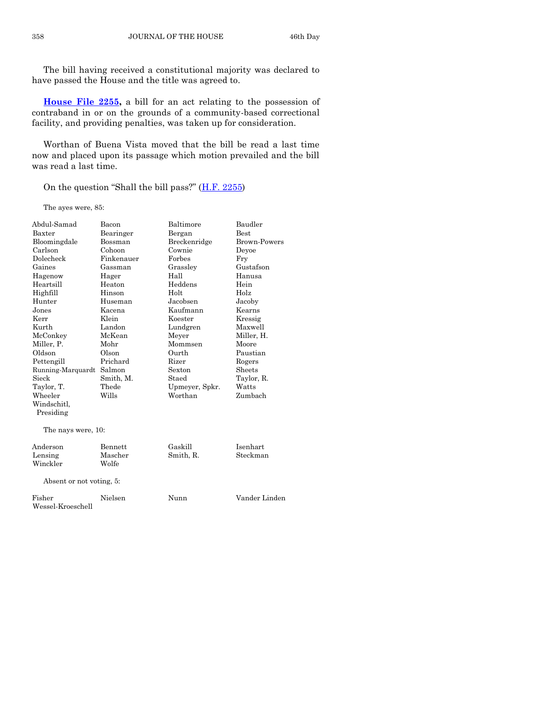The bill having received a constitutional majority was declared to have passed the House and the title was agreed to.

**[House File 2255,](https://www.legis.iowa.gov/legislation/BillBook?ga=87&ba=HF2255)** a bill for an act relating to the possession of contraband in or on the grounds of a community-based correctional facility, and providing penalties, was taken up for consideration.

Worthan of Buena Vista moved that the bill be read a last time now and placed upon its passage which motion prevailed and the bill was read a last time.

On the question "Shall the bill pass?"  $(H.F. 2255)$  $(H.F. 2255)$ 

The ayes were, 85:

| Abdul-Samad              | Bacon      | Baltimore      | Baudler             |
|--------------------------|------------|----------------|---------------------|
| Baxter                   | Bearinger  | Bergan         | <b>Best</b>         |
| Bloomingdale             | Bossman    | Breckenridge   | <b>Brown-Powers</b> |
| Carlson                  | Cohoon     | Cownie         | Deyoe               |
| Dolecheck                | Finkenauer | Forbes         | Fry                 |
| Gaines                   | Gassman    | Grassley       | Gustafson           |
| Hagenow                  | Hager      | Hall           | Hanusa              |
| Heartsill                | Heaton     | Heddens        | Hein                |
| Highfill                 | Hinson     | Holt           | Holz                |
| Hunter                   | Huseman    | Jacobsen       | Jacoby              |
| Jones                    | Kacena     | Kaufmann       | Kearns              |
| Kerr                     | Klein      | Koester        | Kressig             |
| Kurth                    | Landon     | Lundgren       | Maxwell             |
| McConkey                 | McKean     | Meyer          | Miller, H.          |
| Miller, P.               | Mohr       | Mommsen        | Moore               |
| Oldson                   | Olson      | Ourth          | Paustian            |
| Pettengill               | Prichard   | Rizer          | Rogers              |
| Running-Marquardt        | Salmon     | Sexton         | Sheets              |
| Sieck                    | Smith, M.  | Staed          | Taylor, R.          |
| Taylor, T.               | Thede      | Upmeyer, Spkr. | Watts               |
| Wheeler                  | Wills      | Worthan        | Zumbach             |
| Windschitl,              |            |                |                     |
| Presiding                |            |                |                     |
| The nays were, 10:       |            |                |                     |
| Anderson                 | Bennett    | Gaskill        | Isenhart            |
| Lensing                  | Mascher    | Smith, R.      | Steckman            |
| Winckler                 | Wolfe      |                |                     |
| Absent or not voting, 5: |            |                |                     |
| Fisher                   | Nielsen    | Nunn           | Vander Linden       |
| Wessel-Kroeschell        |            |                |                     |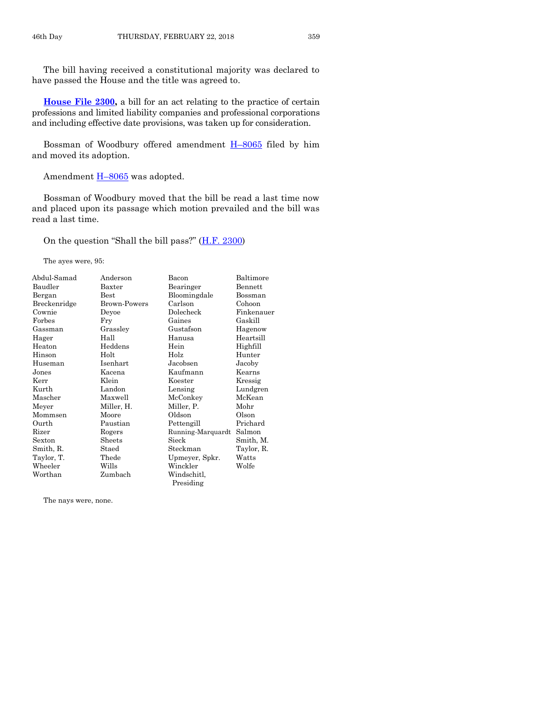The bill having received a constitutional majority was declared to have passed the House and the title was agreed to.

**[House File 2300,](https://www.legis.iowa.gov/legislation/BillBook?ga=87&ba=HF2300)** a bill for an act relating to the practice of certain professions and limited liability companies and professional corporations and including effective date provisions, was taken up for consideration.

Bossman of Woodbury offered amendment H–[8065](https://www.legis.iowa.gov/legislation/BillBook?ga=87&ba=H8065) filed by him and moved its adoption.

Amendment H-[8065](https://www.legis.iowa.gov/legislation/BillBook?ga=87&ba=H8065) was adopted.

Bossman of Woodbury moved that the bill be read a last time now and placed upon its passage which motion prevailed and the bill was read a last time.

On the question "Shall the bill pass?" ([H.F. 2300\)](https://www.legis.iowa.gov/legislation/BillBook?ga=87&ba=HF2300)

The ayes were, 95:

| Abdul-Samad  | Anderson            | Bacon             | Baltimore  |
|--------------|---------------------|-------------------|------------|
| Baudler      | Baxter              | Bearinger         | Bennett    |
| Bergan       | $_{\rm Best}$       | Bloomingdale      | Bossman    |
| Breckenridge | <b>Brown-Powers</b> | Carlson           | Cohoon     |
| Cownie       | Deyoe               | Dolecheck         | Finkenauer |
| Forbes       | Fry                 | Gaines            | Gaskill    |
| Gassman      | Grassley            | Gustafson         | Hagenow    |
| Hager        | Hall                | Hanusa            | Heartsill  |
| Heaton       | Heddens             | Hein              | Highfill   |
| Hinson       | Holt                | Holz              | Hunter     |
| Huseman      | Isenhart            | Jacobsen          | Jacoby     |
| Jones        | Kacena              | Kaufmann          | Kearns     |
| Kerr         | Klein               | Koester           | Kressig    |
| Kurth        | Landon              | Lensing           | Lundgren   |
| Mascher      | Maxwell             | McConkey          | McKean     |
| Meyer        | Miller, H.          | Miller, P.        | Mohr       |
| Mommsen      | Moore               | Oldson            | Olson      |
| Ourth        | Paustian            | Pettengill        | Prichard   |
| Rizer        | Rogers              | Running-Marquardt | Salmon     |
| Sexton       | Sheets              | Sieck             | Smith, M.  |
| Smith, R.    | Staed               | Steckman          | Taylor, R. |
| Taylor, T.   | Thede               | Upmeyer, Spkr.    | Watts      |
| Wheeler      | Wills               | Winckler          | Wolfe      |
| Worthan      | Zumbach             | Windschitl,       |            |
|              |                     | Presiding         |            |

The nays were, none.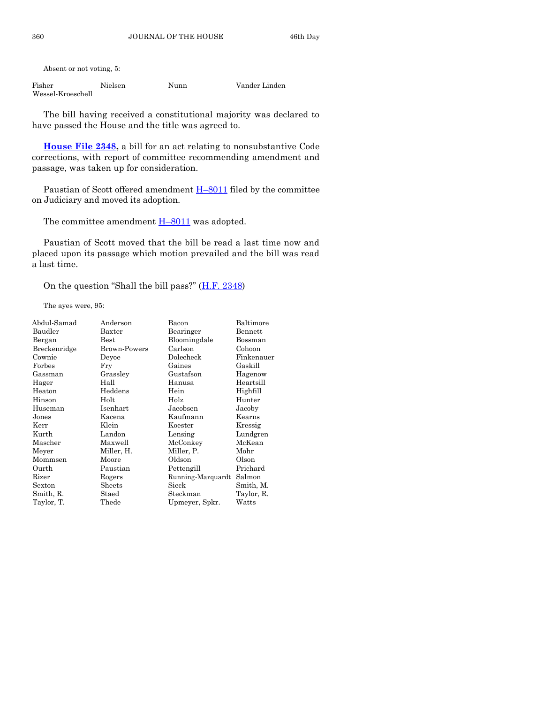Absent or not voting, 5:

| Fisher            | Nielsen | Nunn | Vander Linden |
|-------------------|---------|------|---------------|
| Wessel-Kroeschell |         |      |               |

The bill having received a constitutional majority was declared to have passed the House and the title was agreed to.

**[House File 2348,](https://www.legis.iowa.gov/legislation/BillBook?ga=87&ba=HF2348)** a bill for an act relating to nonsubstantive Code corrections, with report of committee recommending amendment and passage, was taken up for consideration.

Paustian of Scott offered amendment  $H-8011$  $H-8011$  filed by the committee on Judiciary and moved its adoption.

The committee amendment  $H-8011$  $H-8011$  was adopted.

Paustian of Scott moved that the bill be read a last time now and placed upon its passage which motion prevailed and the bill was read a last time.

On the question "Shall the bill pass?"  $(H.F. 2348)$  $(H.F. 2348)$ 

The ayes were, 95:

| Abdul-Samad         | Anderson         | Bacon             | Baltimore  |
|---------------------|------------------|-------------------|------------|
| Baudler             | Baxter           | Bearinger         | Bennett    |
| Bergan              | $_{\rm Best}$    | Bloomingdale      | Bossman    |
| <b>Breckenridge</b> | Brown-Powers     | Carlson           | Cohoon     |
| Cownie              | Deyoe            | Dolecheck         | Finkenauer |
| Forbes              | Fry              | Gaines            | Gaskill    |
| Gassman             | Grassley         | Gustafson         | Hagenow    |
| Hager               | Hall             | Hanusa            | Heartsill  |
| Heaton              | Heddens          | Hein              | Highfill   |
| Hinson              | Holt             | Holz              | Hunter     |
| Huseman             | Isenhart         | Jacobsen          | Jacoby     |
| Jones               | Kacena           | Kaufmann          | Kearns     |
| Kerr                | Klein            | Koester           | Kressig    |
| Kurth               | Landon           | Lensing           | Lundgren   |
| Mascher             | Maxwell          | McConkey          | McKean     |
| Meyer               | Miller, H.       | Miller, P.        | Mohr       |
| Mommsen             | Moore            | Oldson            | Olson      |
| Ourth               | Paustian         | Pettengill        | Prichard   |
| Rizer               | Rogers           | Running-Marquardt | Salmon     |
| Sexton              | $_{\rm{Sheets}}$ | Sieck             | Smith, M.  |
| Smith, R.           | Staed            | Steckman          | Taylor, R. |
| Taylor, T.          | Thede            | Upmeyer, Spkr.    | Watts      |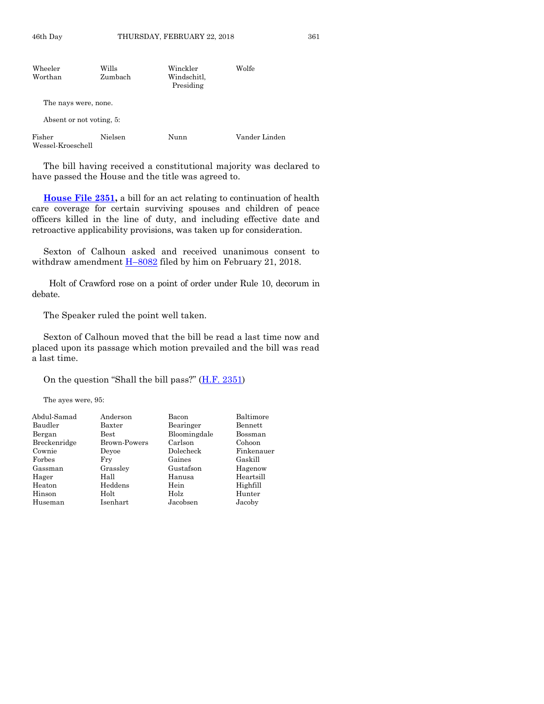| Wheeler<br>Worthan          | Wills<br>Zumbach | Winckler<br>Windschitl,<br>Presiding | Wolfe         |
|-----------------------------|------------------|--------------------------------------|---------------|
| The nays were, none.        |                  |                                      |               |
| Absent or not voting, 5:    |                  |                                      |               |
| Fisher<br>Wessel-Kroeschell | Nielsen          | Nunn                                 | Vander Linden |

The bill having received a constitutional majority was declared to have passed the House and the title was agreed to.

**[House File 2351,](https://www.legis.iowa.gov/legislation/BillBook?ga=87&ba=HF2351)** a bill for an act relating to continuation of health care coverage for certain surviving spouses and children of peace officers killed in the line of duty, and including effective date and retroactive applicability provisions, was taken up for consideration.

Sexton of Calhoun asked and received unanimous consent to withdraw amendment  $H$ –[8082](https://www.legis.iowa.gov/legislation/BillBook?ga=87&ba=H8082) filed by him on February 21, 2018.

Holt of Crawford rose on a point of order under Rule 10, decorum in debate.

The Speaker ruled the point well taken.

Sexton of Calhoun moved that the bill be read a last time now and placed upon its passage which motion prevailed and the bill was read a last time.

On the question "Shall the bill pass?"  $(H.F. 2351)$  $(H.F. 2351)$ 

The ayes were, 95:

| Abdul-Samad  | Anderson            | Bacon        | Baltimore  |
|--------------|---------------------|--------------|------------|
| Baudler      | Baxter              | Bearinger    | Bennett    |
| Bergan       | Best                | Bloomingdale | Bossman    |
| Breckenridge | <b>Brown-Powers</b> | Carlson      | Cohoon     |
| Cownie       | Devoe               | Dolecheck    | Finkenauer |
| Forbes       | Fry                 | Gaines       | Gaskill    |
| Gassman      | Grassley            | Gustafson    | Hagenow    |
| Hager        | Hall                | Hanusa       | Heartsill  |
| Heaton       | Heddens             | Hein         | Highfill   |
| Hinson       | Holt                | Holz         | Hunter     |
| Huseman      | Isenhart            | Jacobsen     | Jacoby     |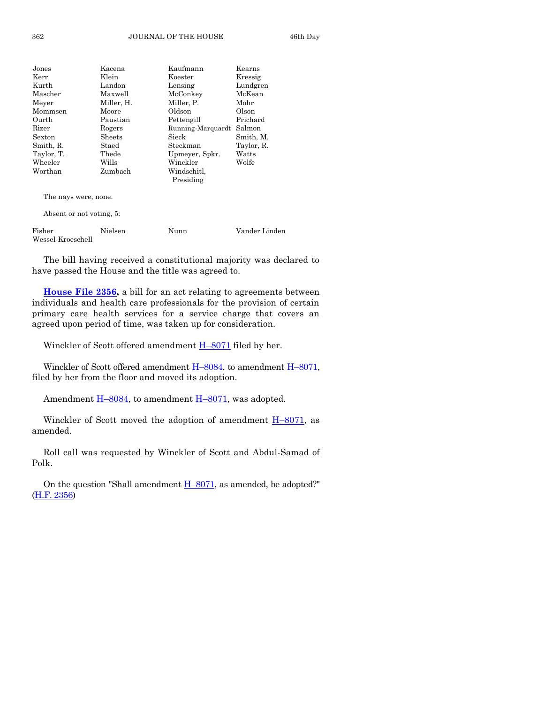#### 362 JOURNAL OF THE HOUSE 46th Day

| Jones                    | Kacena     | Kaufmann          | Kearns        |
|--------------------------|------------|-------------------|---------------|
| Kerr                     | Klein      | Koester           | Kressig       |
| Kurth                    | Landon     | Lensing           | Lundgren      |
| Mascher                  | Maxwell    | McConkey          | McKean        |
| Meyer                    | Miller, H. | Miller, P.        | Mohr          |
| Mommsen                  | Moore      | Oldson            | Olson         |
| Ourth                    | Paustian   | Pettengill        | Prichard      |
| Rizer                    | Rogers     | Running-Marquardt | Salmon        |
| Sexton                   | Sheets     | Sieck             | Smith, M.     |
| Smith, R.                | Staed      | Steckman          | Taylor, R.    |
| Taylor, T.               | Thede      | Upmeyer, Spkr.    | Watts         |
| Wheeler                  | Wills      | Winckler          | Wolfe         |
| Worthan                  | Zumbach    | Windschitl.       |               |
|                          |            | Presiding         |               |
| The nays were, none.     |            |                   |               |
| Absent or not voting, 5: |            |                   |               |
| Fisher                   | Nielsen    | Nunn              | Vander Linden |

The bill having received a constitutional majority was declared to have passed the House and the title was agreed to.

**[House File 2356,](https://www.legis.iowa.gov/legislation/BillBook?ga=87&ba=HF2356)** a bill for an act relating to agreements between individuals and health care professionals for the provision of certain primary care health services for a service charge that covers an agreed upon period of time, was taken up for consideration.

Winckler of Scott offered amendment  $H-8071$  $H-8071$  filed by her.

Winckler of Scott offered amendment  $H$ –[8084,](https://www.legis.iowa.gov/legislation/BillBook?ga=87&ba=H8084) to amendment  $H$ –[8071,](https://www.legis.iowa.gov/legislation/BillBook?ga=87&ba=H8071) filed by her from the floor and moved its adoption.

Amendment  $\underline{H-8084}$ , to amendment  $\underline{H-8071}$ , was adopted.

Winckler of Scott moved the adoption of amendment  $H-8071$ , as amended.

Roll call was requested by Winckler of Scott and Abdul-Samad of Polk.

On the question "Shall amendment  $H-8071$ , as amended, be adopted?" [\(H.F. 2356\)](https://www.legis.iowa.gov/legislation/BillBook?ga=87&ba=HF2356)

Wessel-Kroeschell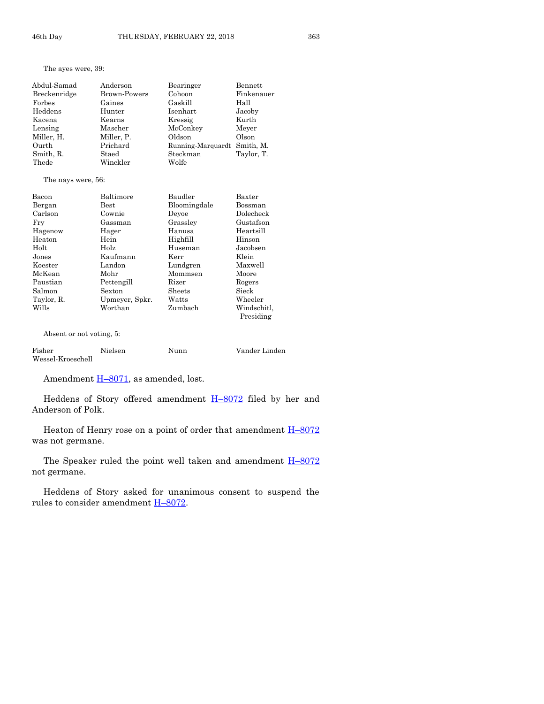The ayes were, 39:

| Abdul-Samad              | Anderson            | Bearinger         | Bennett     |
|--------------------------|---------------------|-------------------|-------------|
| Breckenridge             | <b>Brown-Powers</b> | Cohoon            | Finkenauer  |
| Forbes                   | Gaines              | Gaskill           | Hall        |
| Heddens                  | Hunter              | Isenhart          | Jacoby      |
| Kacena                   | Kearns              | Kressig           | Kurth       |
| Lensing                  | Mascher             | McConkey          | Meyer       |
| Miller, H.               | Miller, P.          | Oldson            | Olson       |
| Ourth                    | Prichard            | Running-Marquardt | Smith, M.   |
| Smith, R.                | Staed               | Steckman          | Taylor, T.  |
| Thede                    | Winckler            | Wolfe             |             |
| The nays were, 56:       |                     |                   |             |
| Bacon                    | Baltimore           | Baudler           | Baxter      |
| Bergan                   | <b>Best</b>         | Bloomingdale      | Bossman     |
| Carlson                  | Cownie              | Devoe             | Dolecheck   |
| Fry                      | Gassman             | Grassley          | Gustafson   |
| Hagenow                  | Hager               | Hanusa            | Heartsill   |
| Heaton                   | Hein                | Highfill          | Hinson      |
| Holt                     | Holz                | Huseman           | Jacobsen    |
| Jones                    | Kaufmann            | Kerr              | Klein       |
| Koester                  | Landon              | Lundgren          | Maxwell     |
| McKean                   | Mohr                | Mommsen           | Moore       |
| Paustian                 | Pettengill          | Rizer             | Rogers      |
| Salmon                   | Sexton              | Sheets            | Sieck       |
| Taylor, R.               | Upmeyer, Spkr.      | Watts             | Wheeler     |
| Wills                    | Worthan             | Zumbach           | Windschitl. |
|                          |                     |                   | Presiding   |
| Absent or not voting, 5: |                     |                   |             |

Fisher Nielsen Nunn Vander Linden Wessel-Kroeschell

Amendment  $H=8071$ , as amended, lost.

Heddens of Story offered amendment H-[8072](https://www.legis.iowa.gov/legislation/BillBook?ga=87&ba=H8072) filed by her and Anderson of Polk.

Heaton of Henry rose on a point of order that amendment  $H-8072$  $H-8072$ was not germane.

The Speaker ruled the point well taken and amendment  $H-8072$  $H-8072$ not germane.

Heddens of Story asked for unanimous consent to suspend the rules to consider amendment H–[8072.](https://www.legis.iowa.gov/legislation/BillBook?ga=87&ba=H8072)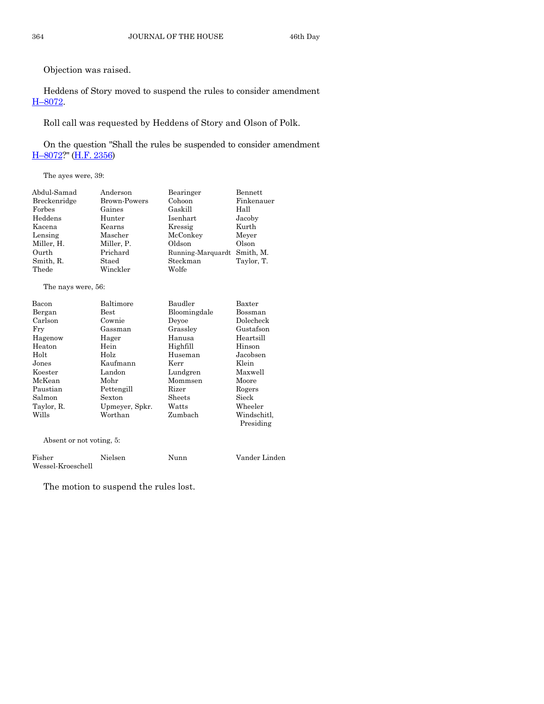Objection was raised.

Heddens of Story moved to suspend the rules to consider amendment H–[8072.](https://www.legis.iowa.gov/legislation/BillBook?ga=87&ba=H8072)

Roll call was requested by Heddens of Story and Olson of Polk.

On the question "Shall the rules be suspended to consider amendment H–[8072?](https://www.legis.iowa.gov/legislation/BillBook?ga=87&ba=H8072)" (H.F. [2356\)](https://www.legis.iowa.gov/legislation/BillBook?ga=87&ba=HF2356)

The ayes were, 39:

| Abdul-Samad                                          | Anderson                                               | Bearinger                                                    | <b>Bennett</b>                            |
|------------------------------------------------------|--------------------------------------------------------|--------------------------------------------------------------|-------------------------------------------|
| Breckenridge                                         | Brown-Powers                                           | Cohoon                                                       | Finkenauer                                |
| Forbes                                               | Gaines                                                 | Gaskill                                                      | Hall                                      |
| Heddens                                              | Hunter                                                 | <b>Isenhart</b>                                              | Jacoby                                    |
| Kacena                                               | Kearns                                                 | Kressig                                                      | Kurth                                     |
| Lensing<br>Miller, H.<br>Ourth<br>Smith, R.<br>Thede | Mascher<br>Miller, P.<br>Prichard<br>Staed<br>Winckler | McConkey<br>Oldson<br>Running-Marquardt<br>Steckman<br>Wolfe | Meyer<br>Olson<br>Smith, M.<br>Taylor, T. |

The nays were, 56:

| Bacon      | Baltimore      | Baudler      | Baxter                   |
|------------|----------------|--------------|--------------------------|
| Bergan     | Best           | Bloomingdale | Bossman                  |
| Carlson    | Cownie         | Devoe        | Dolecheck                |
| Fry        | Gassman        | Grassley     | Gustafson                |
| Hagenow    | Hager          | Hanusa       | Heartsill                |
| Heaton     | Hein           | Highfill     | Hinson                   |
| Holt       | Holz           | Huseman      | Jacobsen                 |
| Jones      | Kaufmann       | Kerr         | Klein                    |
| Koester    | Landon         | Lundgren     | Maxwell                  |
| McKean     | Mohr           | Mommsen      | Moore                    |
| Paustian   | Pettengill     | Rizer        | Rogers                   |
| Salmon     | Sexton         | Sheets       | Sieck                    |
| Taylor, R. | Upmeyer, Spkr. | Watts        | Wheeler                  |
| Wills      | Worthan        | Zumbach      | Windschitl,<br>Presiding |

Absent or not voting, 5:

| Fisher            | Nielsen | Nunn | Vander Linden |
|-------------------|---------|------|---------------|
| Wessel-Kroeschell |         |      |               |

The motion to suspend the rules lost.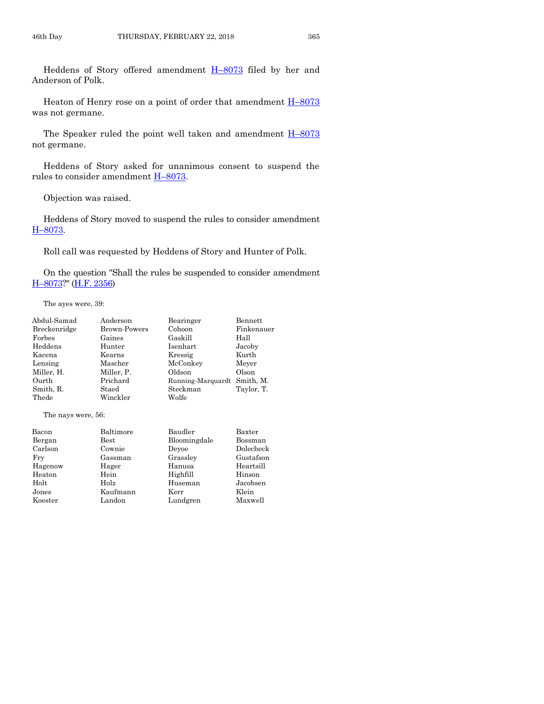Heddens of Story offered amendment H–[8073](https://www.legis.iowa.gov/legislation/BillBook?ga=87&ba=H8073) filed by her and Anderson of Polk.

Heaton of Henry rose on a point of order that amendment  $H-8073$  $H-8073$ was not germane.

The Speaker ruled the point well taken and amendment  $H-8073$  $H-8073$ not germane.

Heddens of Story asked for unanimous consent to suspend the rules to consider amendment H–[8073.](https://www.legis.iowa.gov/legislation/BillBook?ga=87&ba=H8073)

Objection was raised.

Heddens of Story moved to suspend the rules to consider amendment H–[8073.](https://www.legis.iowa.gov/legislation/BillBook?ga=87&ba=H8073)

Roll call was requested by Heddens of Story and Hunter of Polk.

On the question "Shall the rules be suspended to consider amendment H–[8073?](https://www.legis.iowa.gov/legislation/BillBook?ga=87&ba=H8073)" [\(H.F. 2356\)](https://www.legis.iowa.gov/legislation/BillBook?ga=87&ba=HF2356)

The ayes were, 39:

| Abdul-Samad        | Anderson      | Bearinger         | Bennett    |
|--------------------|---------------|-------------------|------------|
| Breckenridge       | Brown-Powers  | Cohoon            | Finkenauer |
| Forbes             | Gaines        | Gaskill           | Hall       |
| Heddens            | Hunter        | Isenhart          | Jacoby     |
| Kacena             | Kearns        | Kressig           | Kurth      |
| Lensing            | Mascher       | McConkey          | Meyer      |
| Miller, H.         | Miller, P.    | Oldson            | Olson      |
| Ourth              | Prichard      | Running-Marquardt | Smith, M.  |
| Smith, R.          | Staed         | Steckman          | Taylor, T. |
| Thede              | Winckler      | Wolfe             |            |
| The nays were, 56: |               |                   |            |
| Bacon              | Baltimore     | Baudler           | Baxter     |
| Bergan             | $_{\rm Best}$ | Bloomingdale      | Bossman    |
| Carlson            | Cownie        | Devoe             | Dolecheck  |
| Fry                | Gassman       | Grassley          | Gustafson  |
| Hagenow            | Hager         | Hanusa            | Heartsill  |
| Heaton             | Hein          | Highfill          | Hinson     |

Holt Holz Huseman Jacobsen Jones Kaufmann Kerr Klein

Koester Landon Lundgren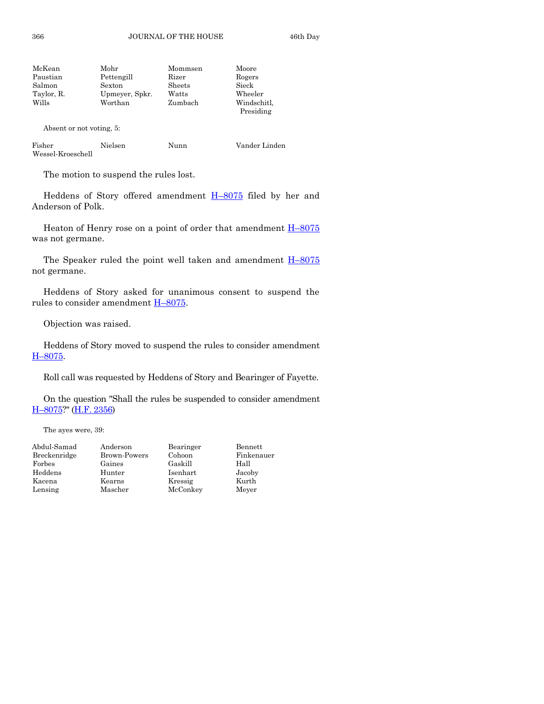| Mohr           | Mommsen | Moore                    |
|----------------|---------|--------------------------|
| Pettengill     | Rizer   | Rogers                   |
| Sexton         | Sheets  | Sieck                    |
| Upmeyer, Spkr. | Watts   | Wheeler                  |
| Worthan        | Zumbach | Windschitl,<br>Presiding |
|                |         |                          |

Absent or not voting, 5:

| Fisher            | <b>Nielsen</b> | Nunn | Vander Linden |
|-------------------|----------------|------|---------------|
| Wessel-Kroeschell |                |      |               |

The motion to suspend the rules lost.

Heddens of Story offered amendment H–[8075](https://www.legis.iowa.gov/legislation/BillBook?ga=87&ba=H8075) filed by her and Anderson of Polk.

Heaton of Henry rose on a point of order that amendment  $H-8075$  $H-8075$ was not germane.

The Speaker ruled the point well taken and amendment  $H-8075$  $H-8075$ not germane.

Heddens of Story asked for unanimous consent to suspend the rules to consider amendment  $H$ –[8075.](https://www.legis.iowa.gov/legislation/BillBook?ga=87&ba=H8075)

Objection was raised.

Heddens of Story moved to suspend the rules to consider amendment H–[8075.](https://www.legis.iowa.gov/legislation/BillBook?ga=87&ba=H8075)

Roll call was requested by Heddens of Story and Bearinger of Fayette.

On the question "Shall the rules be suspended to consider amendment H–[8075?](https://www.legis.iowa.gov/legislation/BillBook?ga=87&ba=H8075)" [\(H.F. 2356\)](https://www.legis.iowa.gov/legislation/BillBook?ga=87&ba=HF2356)

The ayes were, 39:

| Abdul-Samad  | Anderson     | Bearinger | Bennett    |
|--------------|--------------|-----------|------------|
| Breckenridge | Brown-Powers | Cohoon    | Finkenauer |
| Forbes       | Gaines       | Gaskill   | Hall       |
| Heddens      | Hunter       | Isenhart  | Jacoby     |
| Kacena       | Kearns       | Kressig   | Kurth      |
| Lensing      | Mascher      | McConkey  | Meyer      |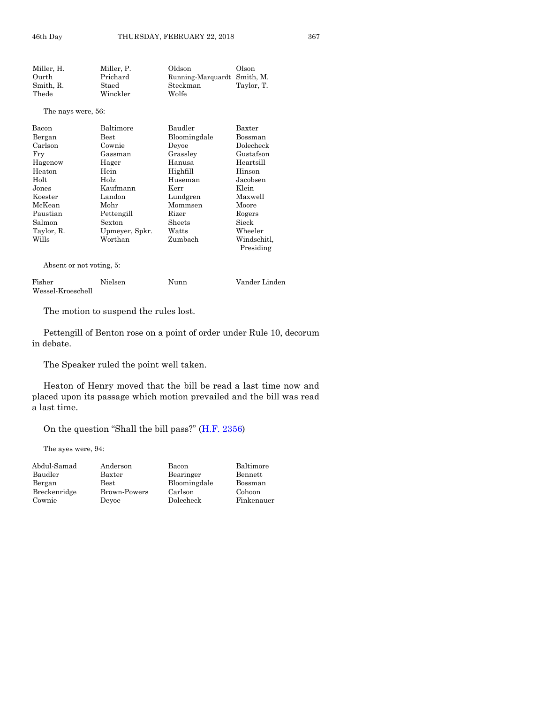Miller, H. Miller, P. Oldson Olson Ourth Prichard Running-Marquardt Smith, M. Steckman Thede Winckler Wolfe

The nays were, 56:

| Bacon      | Baltimore      | Baudler      | Baxter      |
|------------|----------------|--------------|-------------|
| Bergan     | Best           | Bloomingdale | Bossman     |
| Carlson    | Cownie         | Devoe        | Dolecheck   |
| Fry        | Gassman        | Grassley     | Gustafson   |
| Hagenow    | Hager          | Hanusa       | Heartsill   |
| Heaton     | Hein           | Highfill     | Hinson      |
| Holt       | Holz           | Huseman      | Jacobsen    |
| Jones      | Kaufmann       | Kerr         | Klein       |
| Koester    | Landon         | Lundgren     | Maxwell     |
| McKean     | Mohr           | Mommsen      | Moore       |
| Paustian   | Pettengill     | Rizer        | Rogers      |
| Salmon     | Sexton         | Sheets       | Sieck       |
| Taylor, R. | Upmeyer, Spkr. | Watts        | Wheeler     |
| Wills      | Worthan        | Zumbach      | Windschitl, |
|            |                |              | Presiding   |

Absent or not voting, 5:

| Fisher            | Nielsen | Nunn | Vander Linden |
|-------------------|---------|------|---------------|
| Wessel-Kroeschell |         |      |               |

The motion to suspend the rules lost.

Pettengill of Benton rose on a point of order under Rule 10, decorum in debate.

The Speaker ruled the point well taken.

Heaton of Henry moved that the bill be read a last time now and placed upon its passage which motion prevailed and the bill was read a last time.

> Baltimore Bennett Bossman Cohoon Finkenauer

On the question "Shall the bill pass?"  $(H.F. 2356)$  $(H.F. 2356)$ 

The ayes were, 94:

| Abdul-Samad  | Anderson     | Bacon        |
|--------------|--------------|--------------|
| Baudler      | Baxter       | Bearinger    |
| Bergan       | Best         | Bloomingdale |
| Breckenridge | Brown-Powers | Carlson      |
| Cownie       | Devoe        | Dolecheck    |
|              |              |              |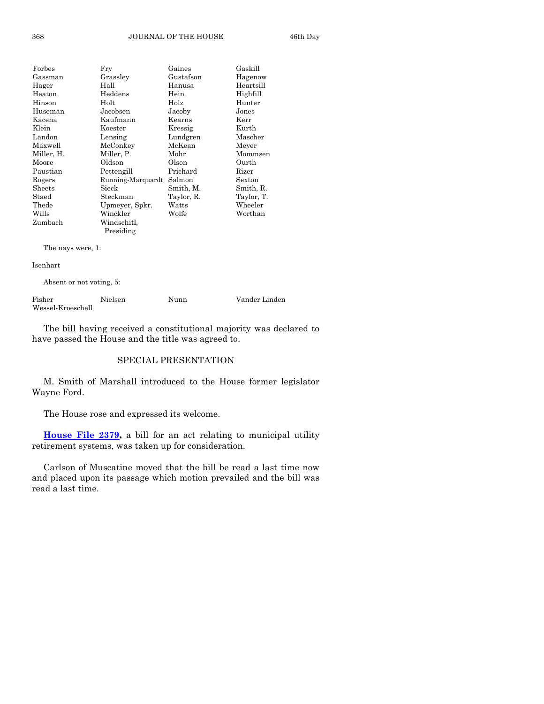| Forbes        | Fry               | Gaines     | Gaskill    |
|---------------|-------------------|------------|------------|
| Gassman       | Grassley          | Gustafson  | Hagenow    |
| Hager         | Hall              | Hanusa     | Heartsill  |
| Heaton        | Heddens           | Hein       | Highfill   |
| Hinson        | Holt              | Holz       | Hunter     |
| Huseman       | Jacobsen          | Jacoby     | Jones      |
| Kacena        | Kaufmann          | Kearns     | Kerr       |
| Klein         | Koester           | Kressig    | Kurth      |
| Landon        | Lensing           | Lundgren   | Mascher    |
| Maxwell       | McConkey          | McKean     | Meyer      |
| Miller, H.    | Miller, P.        | Mohr       | Mommsen    |
| Moore         | Oldson            | Olson      | Ourth      |
| Paustian      | Pettengill        | Prichard   | Rizer      |
| Rogers        | Running-Marquardt | Salmon     | Sexton     |
| $\rm{Sheets}$ | Sieck             | Smith, M.  | Smith, R.  |
| Staed         | Steckman          | Taylor, R. | Taylor, T. |
| Thede         | Upmeyer, Spkr.    | Watts      | Wheeler    |
| Wills         | Winckler          | Wolfe      | Worthan    |
| Zumbach       | Windschitl,       |            |            |
|               | Presiding         |            |            |
|               |                   |            |            |

The nays were, 1:

Isenhart

Absent or not voting, 5:

| Fisher            | Nielsen | Nunn | Vander Linden |
|-------------------|---------|------|---------------|
| Wessel-Kroeschell |         |      |               |

The bill having received a constitutional majority was declared to have passed the House and the title was agreed to.

#### SPECIAL PRESENTATION

M. Smith of Marshall introduced to the House former legislator Wayne Ford.

The House rose and expressed its welcome.

**[House File 2379,](https://www.legis.iowa.gov/legislation/BillBook?ga=87&ba=HF2379)** a bill for an act relating to municipal utility retirement systems, was taken up for consideration.

Carlson of Muscatine moved that the bill be read a last time now and placed upon its passage which motion prevailed and the bill was read a last time.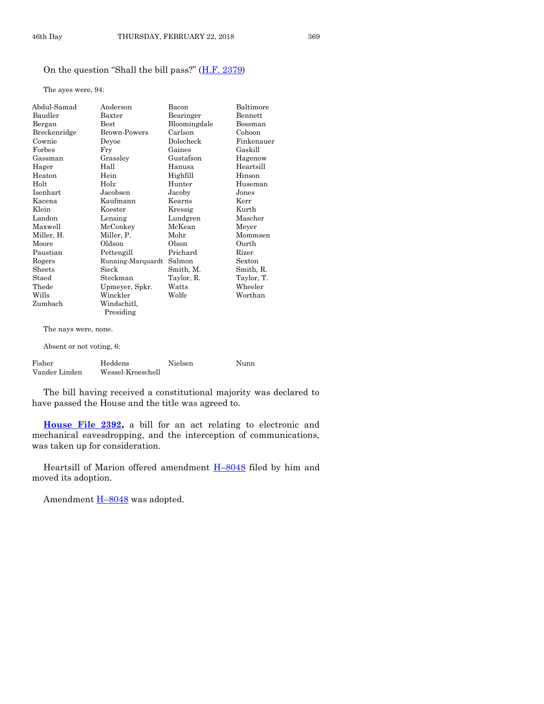#### On the question "Shall the bill pass?" ([H.F. 2379\)](https://www.legis.iowa.gov/legislation/BillBook?ga=87&ba=HF2379)

The ayes were, 94:

| Abdul-Samad              | Anderson          | Bacon        | Baltimore  |
|--------------------------|-------------------|--------------|------------|
| Baudler                  | $B$ axter         | Bearinger    | Bennett    |
| Bergan                   | <b>Best</b>       | Bloomingdale | Bossman    |
| Breckenridge             | Brown-Powers      | Carlson      | Cohoon     |
| Cownie                   | Deyoe             | Dolecheck    | Finkenauer |
| Forbes                   | Fry               | Gaines       | Gaskill    |
| Gassman                  | Grassley          | Gustafson    | Hagenow    |
| Hager                    | Hall              | Hanusa       | Heartsill  |
| Heaton                   | Hein              | Highfill     | Hinson     |
| Holt                     | Holz              | Hunter       | Huseman    |
| Isenhart                 | Jacobsen          | Jacoby       | Jones      |
| Kacena                   | Kaufmann          | Kearns       | Kerr       |
| Klein                    | Koester           | Kressig      | Kurth      |
| Landon                   | Lensing           | Lundgren     | Mascher    |
| Maxwell                  | McConkey          | McKean       | Meyer      |
| Miller, H.               | Miller, P.        | Mohr         | Mommsen    |
| Moore                    | Oldson            | Olson        | Ourth      |
| Paustian                 | Pettengill        | Prichard     | Rizer      |
| Rogers                   | Running-Marquardt | Salmon       | Sexton     |
| Sheets                   | Sieck             | Smith, M.    | Smith, R.  |
| Staed                    | Steckman          | Taylor, R.   | Taylor, T. |
| Thede                    | Upmeyer, Spkr.    | Watts        | Wheeler    |
| Wills                    | Winckler          | Wolfe        | Worthan    |
| Zumbach                  | Windschitl,       |              |            |
|                          | Presiding         |              |            |
| The nays were, none.     |                   |              |            |
| Absent or not voting, 6: |                   |              |            |

| Fisher        | Heddens           | Nielsen | Nunn |
|---------------|-------------------|---------|------|
| Vander Linden | Wessel-Kroeschell |         |      |

The bill having received a constitutional majority was declared to have passed the House and the title was agreed to.

**[House File 2392,](https://www.legis.iowa.gov/legislation/BillBook?ga=87&ba=HF2392)** a bill for an act relating to electronic and mechanical eavesdropping, and the interception of communications, was taken up for consideration.

Heartsill of Marion offered amendment **H**–[8048](https://www.legis.iowa.gov/legislation/BillBook?ga=87&ba=H8048) filed by him and moved its adoption.

Amendment  $H-8048$  $H-8048$  was adopted.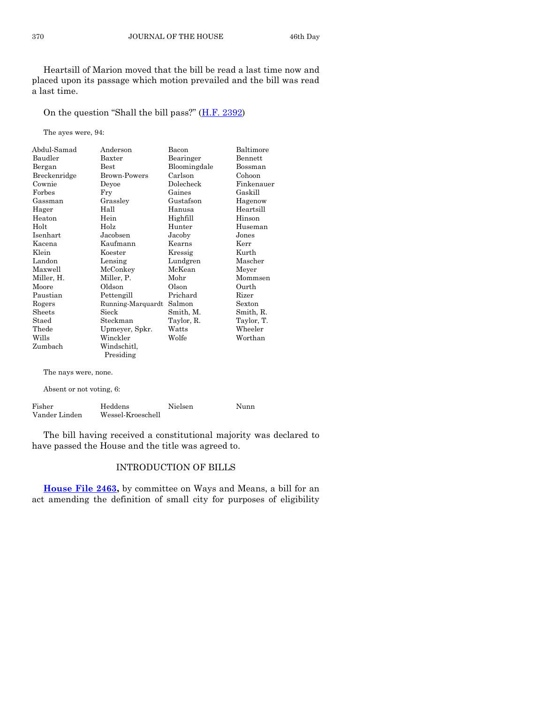Heartsill of Marion moved that the bill be read a last time now and placed upon its passage which motion prevailed and the bill was read a last time.

On the question "Shall the bill pass?" ([H.F. 2392\)](https://www.legis.iowa.gov/legislation/BillBook?ga=87&ba=HF2392)

The ayes were, 94:

| Abdul-Samad  | Anderson                 | Bacon        | Baltimore      |
|--------------|--------------------------|--------------|----------------|
| Baudler      | Baxter                   | Bearinger    | <b>Bennett</b> |
| Bergan       | Best                     | Bloomingdale | Bossman        |
| Breckenridge | Brown-Powers             | Carlson      | Cohoon         |
| Cownie       | Deyoe                    | Dolecheck    | Finkenauer     |
| Forbes       | Fry                      | Gaines       | Gaskill        |
| Gassman      | Grassley                 | Gustafson    | Hagenow        |
| Hager        | Hall                     | Hanusa       | Heartsill      |
| Heaton       | Hein                     | Highfill     | Hinson         |
| Holt         | Holz                     | Hunter       | Huseman        |
| Isenhart     | Jacobsen                 | Jacoby       | Jones          |
| Kacena       | Kaufmann                 | Kearns       | Kerr           |
| Klein        | Koester                  | Kressig      | Kurth          |
| Landon       | Lensing                  | Lundgren     | Mascher        |
| Maxwell      | McConkey                 | McKean       | Meyer          |
| Miller, H.   | Miller, P.               | Mohr         | Mommsen        |
| Moore        | Oldson                   | Olson        | Ourth          |
| Paustian     | Pettengill               | Prichard     | Rizer          |
| Rogers       | Running-Marquardt        | Salmon       | Sexton         |
| Sheets       | Sieck                    | Smith, M.    | Smith, R.      |
| Staed        | Steckman                 | Taylor, R.   | Taylor, T.     |
| Thede        | Upmeyer, Spkr.           | Watts        | Wheeler        |
| Wills        | Winckler                 | Wolfe        | Worthan        |
| Zumbach      | Windschitl.<br>Presiding |              |                |
|              |                          |              |                |

The nays were, none.

Absent or not voting, 6:

| Fisher        | Heddens           | Nielsen | Nunn |
|---------------|-------------------|---------|------|
| Vander Linden | Wessel-Kroeschell |         |      |

The bill having received a constitutional majority was declared to have passed the House and the title was agreed to.

#### INTRODUCTION OF BILLS

**[House File 2463,](https://www.legis.iowa.gov/legislation/BillBook?ga=87&ba=HF2463)** by committee on Ways and Means, a bill for an act amending the definition of small city for purposes of eligibility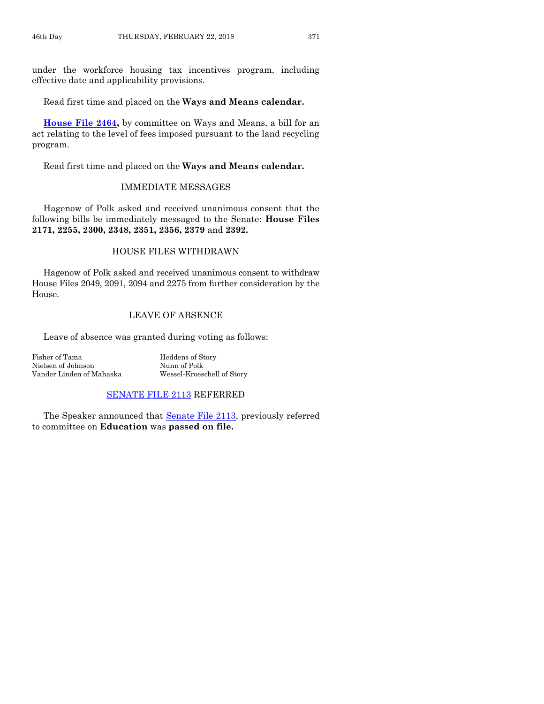under the workforce housing tax incentives program, including effective date and applicability provisions.

Read first time and placed on the **Ways and Means calendar.**

**[House File 2464,](https://www.legis.iowa.gov/legislation/BillBook?ga=87&ba=HF2464)** by committee on Ways and Means, a bill for an act relating to the level of fees imposed pursuant to the land recycling program.

Read first time and placed on the **Ways and Means calendar.**

#### IMMEDIATE MESSAGES

Hagenow of Polk asked and received unanimous consent that the following bills be immediately messaged to the Senate: **House Files 2171, 2255, 2300, 2348, 2351, 2356, 2379** and **2392.**

#### HOUSE FILES WITHDRAWN

Hagenow of Polk asked and received unanimous consent to withdraw House Files 2049, 2091, 2094 and 2275 from further consideration by the House.

#### LEAVE OF ABSENCE

Leave of absence was granted during voting as follows:

Fisher of Tama Heddens of Story Nielsen of Johnson Nunn of Polk Vander Linden of Mahaska Wessel-Kroeschell of Story

#### [SENATE FILE 2113](https://www.legis.iowa.gov/legislation/BillBook?ga=87&ba=SF2113) REFERRED

The Speaker announced that **Senate File 2113**, previously referred to committee on **Education** was **passed on file.**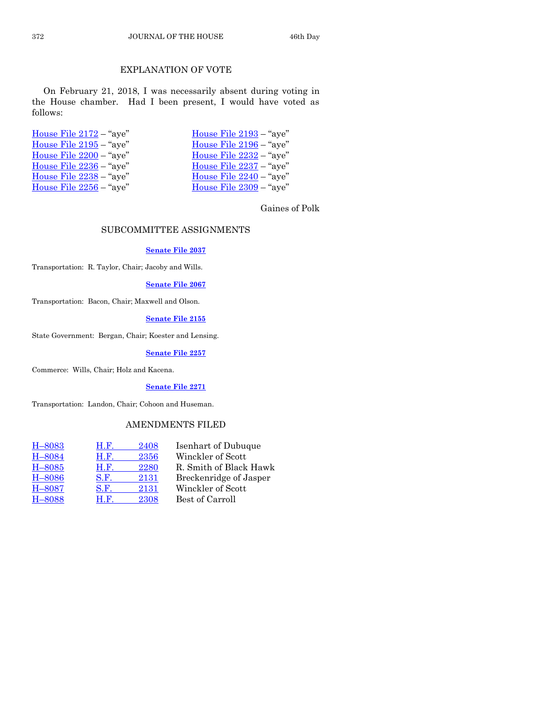#### EXPLANATION OF VOTE

On February 21, 2018, I was necessarily absent during voting in the House chamber. Had I been present, I would have voted as follows:

| House File 2193 - "aye"   |
|---------------------------|
| House File $2196 -$ "aye" |
| House File $2232 -$ "aye" |
| House File 2237 - "aye"   |
| House File 2240 - "aye"   |
| House File 2309 - "aye"   |
|                           |

Gaines of Polk

#### SUBCOMMITTEE ASSIGNMENTS

#### **[Senate File 2037](https://www.legis.iowa.gov/legislation/BillBook?ga=87&ba=SF2037)**

Transportation: R. Taylor, Chair; Jacoby and Wills.

#### **[Senate File 2067](https://www.legis.iowa.gov/legislation/BillBook?ga=87&ba=SF2067)**

Transportation: Bacon, Chair; Maxwell and Olson.

#### **[Senate File 2155](https://www.legis.iowa.gov/legislation/BillBook?ga=87&ba=SF2155)**

State Government: Bergan, Chair; Koester and Lensing.

#### **[Senate File 2257](https://www.legis.iowa.gov/legislation/BillBook?ga=87&ba=SF2257)**

Commerce: Wills, Chair; Holz and Kacena.

#### **[Senate File 2271](https://www.legis.iowa.gov/legislation/BillBook?ga=87&ba=SF2271)**

Transportation: Landon, Chair; Cohoon and Huseman.

#### AMENDMENTS FILED

| H.F. | 2408 | Isenhart of Dubuque    |
|------|------|------------------------|
| H.F. | 2356 | Winckler of Scott      |
| H.F. | 2280 | R. Smith of Black Hawk |
| S.F. | 2131 | Breckenridge of Jasper |
| S.F. | 2131 | Winckler of Scott      |
| H.F. | 2308 | Best of Carroll        |
|      |      |                        |